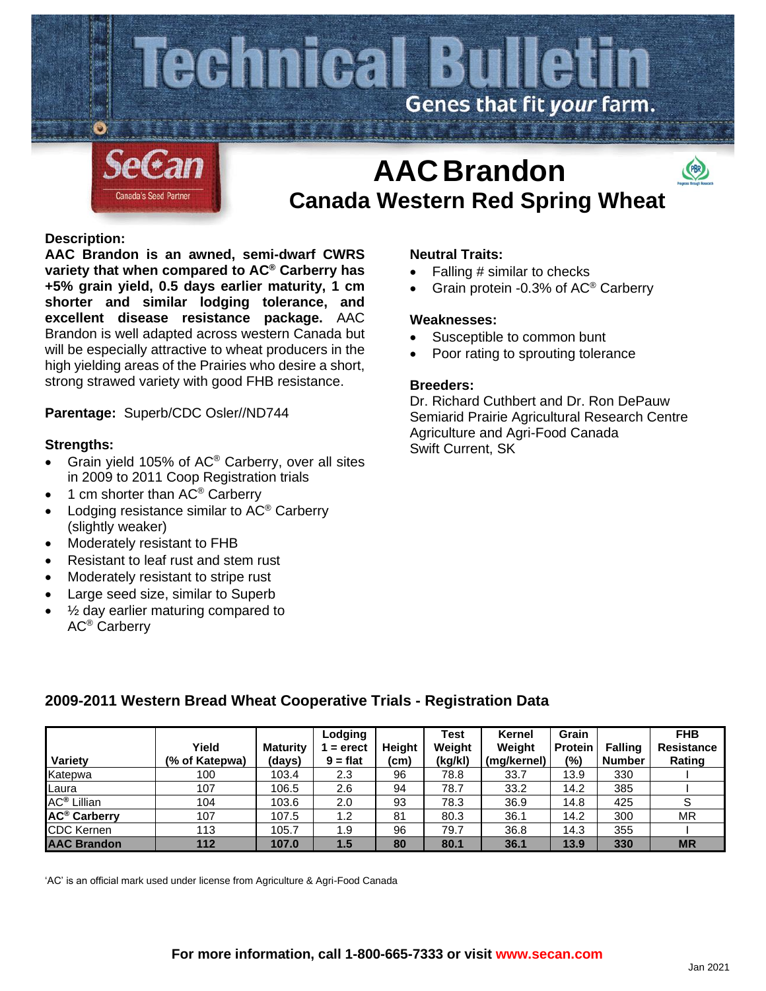

## **Description:**

**AAC Brandon is an awned, semi-dwarf CWRS variety that when compared to AC® Carberry has +5% grain yield, 0.5 days earlier maturity, 1 cm shorter and similar lodging tolerance, and excellent disease resistance package.** AAC Brandon is well adapted across western Canada but will be especially attractive to wheat producers in the high yielding areas of the Prairies who desire a short, strong strawed variety with good FHB resistance.

**Parentage:** Superb/CDC Osler//ND744

#### **Strengths:**

- Grain yield 105% of  $AC^{\circ}$  Carberry, over all sites in 2009 to 2011 Coop Registration trials
- 1 cm shorter than AC<sup>®</sup> Carberry
- Lodging resistance similar to AC® Carberry (slightly weaker)
- Moderately resistant to FHB
- Resistant to leaf rust and stem rust
- Moderately resistant to stripe rust
- Large seed size, similar to Superb
- $\frac{1}{2}$  day earlier maturing compared to AC® Carberry

#### **Neutral Traits:**

• Falling # similar to checks

 **Canada Western Red Spring Wheat**

• Grain protein -0.3% of AC® Carberry

#### **Weaknesses:**

- Susceptible to common bunt
- Poor rating to sprouting tolerance

## **Breeders:**

Dr. Richard Cuthbert and Dr. Ron DePauw Semiarid Prairie Agricultural Research Centre Agriculture and Agri-Food Canada Swift Current, SK

|                                |                |                 | Lodging    |        | Test    | Kernel      | Grain   |                | <b>FHB</b>        |
|--------------------------------|----------------|-----------------|------------|--------|---------|-------------|---------|----------------|-------------------|
|                                | Yield          | <b>Maturity</b> | $=$ erect  | Heiaht | Weight  | Weight      | Protein | <b>Falling</b> | <b>Resistance</b> |
| Variety                        | (% of Katepwa) | (days)          | $9 = flat$ | (cm)   | (kg/kl) | (mg/kernel) | $(\%)$  | <b>Number</b>  | Rating            |
| Katepwa                        | 100            | 103.4           | 2.3        | 96     | 78.8    | 33.7        | 13.9    | 330            |                   |
| Laura                          | 107            | 106.5           | 2.6        | 94     | 78.7    | 33.2        | 14.2    | 385            |                   |
| <b>AC<sup>®</sup></b> Lillian  | 104            | 103.6           | 2.0        | 93     | 78.3    | 36.9        | 14.8    | 425            | c<br>ت            |
| <b>AC<sup>®</sup> Carberry</b> | 107            | 107.5           | 1.2        | 81     | 80.3    | 36.1        | 14.2    | 300            | MR                |
| <b>CDC Kernen</b>              | 113            | 105.7           | 1.9        | 96     | 79.7    | 36.8        | 14.3    | 355            |                   |
| <b>AAC Brandon</b>             | 112            | 107.0           | 1.5        | 80     | 80.1    | 36.1        | 13.9    | 330            | <b>MR</b>         |

# **2009-2011 Western Bread Wheat Cooperative Trials - Registration Data**

'AC' is an official mark used under license from Agriculture & Agri-Food Canada